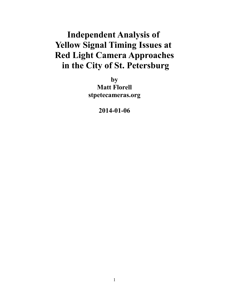# **Independent Analysis of Yellow Signal Timing Issues at Red Light Camera Approaches in the City of St. Petersburg**

**by Matt Florell stpetecameras.org**

**2014-01-06**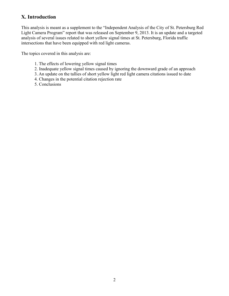# **X. Introduction**

This analysis is meant as a supplement to the "Independent Analysis of the City of St. Petersburg Red Light Camera Program" report that was released on September 9, 2013. It is an update and a targeted analysis of several issues related to short yellow signal times at St. Petersburg, Florida traffic intersections that have been equipped with red light cameras.

The topics covered in this analysis are:

- 1. The effects of lowering yellow signal times
- 2. Inadequate yellow signal times caused by ignoring the downward grade of an approach
- 3. An update on the tallies of short yellow light red light camera citations issued to date
- 4. Changes in the potential citation rejection rate
- 5. Conclusions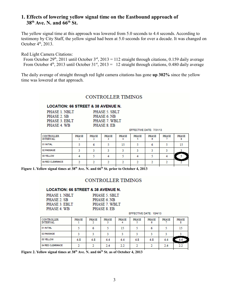### **1. Effects of lowering yellow signal time on the Eastbound approach of 38th Ave. N. and 66th St.**

The yellow signal time at this approach was lowered from 5.0 seconds to 4.4 seconds. According to testimony by City Staff, the yellow signal had been at 5.0 seconds for over a decade. It was changed on October  $4<sup>th</sup>$ , 2013.

Red Light Camera Citations:

From October 29<sup>th</sup>, 2011 until October 3<sup>rd</sup>, 2013 = 112 straight through citations, 0.159 daily average From October  $4<sup>th</sup>$ , 2013 until October 31<sup>st</sup>, 2013 = 12 straight through citations, 0.480 daily average

The daily average of straight through red light camera citations has gone **up 302%** since the yellow time was lowered at that approach.

#### **CONTROLLER TIMINGS**

#### **LOCATION: 66 STREET & 38 AVENUE N.**

| PHASE 1. NBLT | PHASE 5 SBLT |
|---------------|--------------|
| PHASE 2. SB   | PHASE 6 NB   |
| PHASE 3 EBLT  | PHASE 7 WBLT |
| PHASE 4 WB    | PHASE 8 EB   |
|               |              |

EFFECTIVE DATE: 7/31/13

| <b>CONTROLLER</b><br><b>INTERVAL</b> | <b>PHASE</b> | <b>PHASE</b> | <b>PHASE</b> | <b>PHASE</b> | <b>PHASE</b> | <b>PHASE</b> | PHASE | <b>PHASE</b> |
|--------------------------------------|--------------|--------------|--------------|--------------|--------------|--------------|-------|--------------|
| 01 INITIAL                           |              |              |              | 15           |              |              |       | 15           |
| 02 PASSAGE                           |              |              |              |              |              |              |       |              |
| 03 YELLOW                            |              |              |              |              |              |              |       |              |
| 04 RED CLEARANCE                     |              |              |              |              |              |              |       |              |
|                                      |              |              |              |              |              |              |       |              |

**Figure 1. Yellow signal times at 38th Ave. N. and 66th St. prior to October 4, 2013**

#### **CONTROLLER TIMINGS**

#### **LOCATION: 66 STREET & 38 AVENUE N.**

| PHASE 1 NBLT  | PHASE 5. SBLT |
|---------------|---------------|
| PHASE 2 SB    | PHASE 6 NB    |
| PHASE 3. EBLT | PHASE 7 WBLT  |
| PHASE 4 WB    | PHASE 8 EB    |

#### EFFECTIVE DATE: 10/4/13

| <b>CONTROLLER</b><br><b>INTERVAL</b> | PHASE | <b>PHASE</b> | <b>PHASE</b> | <b>PHASE</b> | <b>PHASE</b> | <b>PHASE</b> | <b>PHASE</b> | PHASE |
|--------------------------------------|-------|--------------|--------------|--------------|--------------|--------------|--------------|-------|
| 01 INITIAL                           |       |              |              | 15           |              |              |              | 15    |
| 02 PASSAGE                           |       |              |              |              |              |              |              |       |
| 03 YELLOW                            | 4.8   | 4.8          | 4.4          | 4.4          | 4.8          | 4.8          | 4.4          | 4.4   |
| 04 RED CLEARANCE                     |       |              | 2.4          | 2.2          |              |              | 2.4          | 2.2   |

**Figure 2. Yellow signal times at 38<sup>th</sup> Ave. N. and**  $66^{th}$  **St. as of October 4, 2013**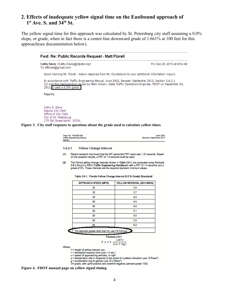## **2. Effects of inadequate yellow signal time on the Eastbound approach of**   $1^{\text{st}}$  Ave. S. and  $34^{\text{th}}$  St.

The yellow signal time for this approach was calculated by St. Petersburg city staff assuming a 0.0% slope, or grade, when in fact there is a center-line downward grade of 1.661% at 100 feet for this approach(see documentation below).

|                                                                                       | Cathy Davis <cathy.davis@stpete.org></cathy.davis@stpete.org>                                 | Fri, Dec 20, 2013 at 8:54 AM                                                                                                                                                                                                                          |  |  |  |  |
|---------------------------------------------------------------------------------------|-----------------------------------------------------------------------------------------------|-------------------------------------------------------------------------------------------------------------------------------------------------------------------------------------------------------------------------------------------------------|--|--|--|--|
| To: Mflorell@gmail.com                                                                |                                                                                               |                                                                                                                                                                                                                                                       |  |  |  |  |
|                                                                                       |                                                                                               | Good morning Mr. Florell - below response from Mr. Funderburk to your additional information inquiry.                                                                                                                                                 |  |  |  |  |
|                                                                                       | 2013, I used a 0.0% grade.                                                                    | In accordance with Traffic Engineering Manual, June 2002, Revised: September 2013, Section 3.6.2.1<br>(2) and the memorandum issued by Mark Wilson, State Traffic Operations Engineer, FDOT on September 20,                                          |  |  |  |  |
| Regards,                                                                              |                                                                                               |                                                                                                                                                                                                                                                       |  |  |  |  |
| Cathy E. Davis<br>Deputy City Clerk<br>Office of City Clerk<br>City of St. Petersburg | 175 5th Street North 33701                                                                    | Figure 3. City staff response to questions about the grade used to calculate yellow times                                                                                                                                                             |  |  |  |  |
|                                                                                       | Topic No. 750-000-005<br><b>Traffic Engineering Manual</b><br>Signals                         | <b>June 2002</b><br>Revised: September 2013                                                                                                                                                                                                           |  |  |  |  |
|                                                                                       | 3.6.2.1<br><b>Yellow Change Interval</b>                                                      |                                                                                                                                                                                                                                                       |  |  |  |  |
|                                                                                       | (1)<br>on the research results, a PRT of 1.4 seconds shall be used.                           | Recent research has found that the 85 <sup>th</sup> percentile PRT value was 1.33 seconds. Based                                                                                                                                                      |  |  |  |  |
|                                                                                       | (2)                                                                                           | The Florida yellow change intervals shown in Table 3.6-1, are computed using Formula<br>3.6-1 (found in ITE's Traffic Engineering Handbook) with a PRT of 1.4 seconds and a<br>grade of 0%. These intervals are the required standard minimum values. |  |  |  |  |
|                                                                                       |                                                                                               | Table 3.6-1. Florida Yellow Change Interval (0.0 % Grade) Standards                                                                                                                                                                                   |  |  |  |  |
|                                                                                       | <b>APPROACH SPEED (MPH)</b><br>25                                                             | YELLOW INTERVAL (SECONDS)<br>3.4                                                                                                                                                                                                                      |  |  |  |  |
|                                                                                       | 30                                                                                            | 3.7                                                                                                                                                                                                                                                   |  |  |  |  |
|                                                                                       | 35                                                                                            | 4.0                                                                                                                                                                                                                                                   |  |  |  |  |
|                                                                                       | 40                                                                                            | 4.4                                                                                                                                                                                                                                                   |  |  |  |  |
|                                                                                       | 45                                                                                            | 4.8                                                                                                                                                                                                                                                   |  |  |  |  |
|                                                                                       | 50                                                                                            | 5.1                                                                                                                                                                                                                                                   |  |  |  |  |
|                                                                                       | 55.                                                                                           | 5.5                                                                                                                                                                                                                                                   |  |  |  |  |
|                                                                                       | 60                                                                                            | 5.9                                                                                                                                                                                                                                                   |  |  |  |  |
|                                                                                       | 65                                                                                            | 6.0                                                                                                                                                                                                                                                   |  |  |  |  |
|                                                                                       | * For approach grades other than 0%, use ITE Formula                                          |                                                                                                                                                                                                                                                       |  |  |  |  |
|                                                                                       |                                                                                               | Formula 3.6-1<br>$Y = t + \frac{1.47v}{2(a+Gg)}$                                                                                                                                                                                                      |  |  |  |  |
|                                                                                       | Where:<br>Y= length of yellow interval, sec.<br>$t =$ perception-reaction time (use 1.4 sec.) |                                                                                                                                                                                                                                                       |  |  |  |  |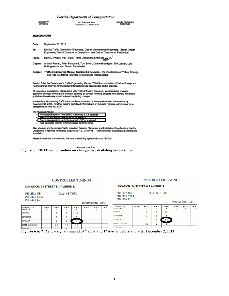#### **Florida Department of Transportation**

|                   | r tortau Department of Transportation                                                                                                                                       |                                                |  |  |  |  |  |
|-------------------|-----------------------------------------------------------------------------------------------------------------------------------------------------------------------------|------------------------------------------------|--|--|--|--|--|
|                   | <b>RICK SCOTT</b><br>605 Suwannee Street<br><b>GOVERNOR</b><br>Tallahassee, FL 32399-0450                                                                                   | <b>ANANTH PRASAD, P.E.</b><br><b>SECRETARY</b> |  |  |  |  |  |
| <b>MEMORANDUM</b> |                                                                                                                                                                             |                                                |  |  |  |  |  |
| Date:             | September 20, 2013                                                                                                                                                          |                                                |  |  |  |  |  |
| To:               | District Traffic Operations Engineers, District Maintenance Engineers, District Design<br>Engineers, District Directors of Operations, and District Directors of Production |                                                |  |  |  |  |  |
| From:             | Mark C. Wilson, P.E., State Traffic Operations Engineer                                                                                                                     |                                                |  |  |  |  |  |
| Copies:           | Ananth Prasad, Brian Blanchard, Tom Byron, Duane Brautigam, Tim Lattner, Lora<br>Hollingsworth, and District Secretaries                                                    |                                                |  |  |  |  |  |
| Subject:          | Traffic Engineering Manual Section 3.6 Revision - Standardization of Yellow Change<br>and Red Clearance Intervals for Signalized Intersections                              |                                                |  |  |  |  |  |
|                   | Realise 2.8 of the Descriptionals Tradis Contractive Henriel (TELA Observationalistics of Vallace Observational                                                             |                                                |  |  |  |  |  |

Section 3.6 of the Department's Traffic Engineering Manual (TEM) Standardization of Y<br>Red Clearance Intervals for Signalized Intersections has been revised and is attached. ation of Yellow Change and

All new signal installations, intersections with Traffic Infraction Detectors, signal phasing changes, geometric changes affecting the timing or phasing, or comidor re-timing projects must comply with these guidelines immediately upon implementing timing changes.

Intersections with existing Traffic Infraction Detectors must be in compliance with the revisions by<br>December 31, 2013. All other existing signalized intersections on the state highway system must be in compliance by June 30, 2015.

The revisions include:

| IC I EXIGNUAL ENGINEE.                                               |
|----------------------------------------------------------------------|
| . Perception/Reaction Time (PRT) to be used is 1.4 seconds           |
| . Minimum vellow change interval is 3.4 seconds.                     |
| . Round computations up to the nearest 1/10 <sup>h</sup> of a second |
| Red clearance interval minimum raised to 2.0 seconds                 |

Also attached are the revised Traffic Infraction Detector Placement and Installation Specifications that the<br>Department is required to develop pursuant to F.S., 316.0776 Traffic infraction defectors; placement and<br>installa

Please forward the documents to the local maintaining agencies in your Districts.



#### CONTROLLER TIMINGS

#### **CONTROLLER TIMINGS**

**LOCATION: 34 STREET & 1 AVENUE S.** 

| PHASE 2. NB   | $OLA=$ |
|---------------|--------|
| PHASE 3. SBLT |        |
| PHASE 4. EB   |        |

**SB THRU** 

| PHASE 2 NB    | $OLA = SB$ THRU |
|---------------|-----------------|
| PHASE 3. SBLT |                 |
| PHASE 4. EB   |                 |

**LOCATION: 34 STREET & 1 AVENUE S.** 

EFFECTIVE DATE: 12/2/13

| CONTROLLER<br><b>INTERVAL</b> | PHASE | <b>PHASE</b> | <b>PHASE</b> | PHASE | PHASE | <b>PHASE</b> | <b>PHAS</b> | <b>CONTROLLER</b><br><b>INTERVAL</b> | PHASE | PHASE | PHASE          | PHASE     | PHASE | PHASE | <b>PHAS</b> |
|-------------------------------|-------|--------------|--------------|-------|-------|--------------|-------------|--------------------------------------|-------|-------|----------------|-----------|-------|-------|-------------|
| 01 INITIAL                    |       |              |              | 10    |       |              |             | 01 INITIAL                           |       |       |                | 10        |       |       |             |
| 02 PASSAGE                    |       |              |              |       |       |              |             | 02 PASSAGE                           |       |       |                |           |       |       |             |
| 03 YELLOW                     |       |              |              |       |       |              |             | 03 YELLOW                            |       |       |                | 4.4       |       |       |             |
| 04 RED CLEARANCE              |       |              | Æ            |       |       |              |             | 04 RED CLEARANCE                     |       | 2.1   |                |           |       |       |             |
| <b>CONTRACTOR</b> CONTRACTOR  |       | <br>$-$      | .<br>$\sim$  | . .   |       |              |             | <b>DE MAYIMUM 1</b>                  |       | n.    | $\overline{a}$ | <b>SO</b> |       |       |             |

**Figures 6 & 7. Yellow signal times at 34th St. S. and 1st Ave. S. before and after December 2, 2013**

EFFECTIVE DATE: 5/17/12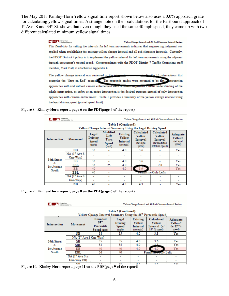The May 2013 Kimley-Horn Yellow signal time report shown below also uses a 0.0% approach grade for calculating yellow signal times. A strange note on their calculations for the Eastbound approach of 1<sup>st</sup> Ave. S and 34<sup>th</sup> St. shows that even though they used the same 40 mph speed, they came up with two different calculated minimum yellow signal times:

> **TAN Kinley-Hom** Yellow Change Interval and All Red Clearance Interval Review This flexibility for setting the intervals for left turn movements indicates that engineering judgment was applied when establishing the existing yellow change interval and all red clearance intervals. Currently, the FDOT District 7 policy is to implement the yellow interval for left turn movements using the adjacent through movement's posted speed. Correspondence with the FDOT District 7 Traffic Operations staff member, Mark Hall, is attached as Appendix C. The yellow change interval was reviewed at the the 10 intersections that comprise the "Stop on Red" campais The approach grades were assumed to be flat. Intersection

approaches with and without camera enforcement were reviewed to provide a better understanding of the whole intersection, as safety at an entire intersection is the desired outcome instead of only intersection approaches with camera enforcement. Table 1 provides a summary of the yellow change interval using the legal driving speed (posted speed limit).

**Figure 8. Kimley-Horn report, page 6 on the PDF(page 4 of the report)**

|                                                                                      | Kimley-Hom<br>and Associates, Inc.    |                                           | Yellow Change Interval and All Red Clearance Interval Review |                                             |                                                        |                                                                     |                                            |  |  |  |  |
|--------------------------------------------------------------------------------------|---------------------------------------|-------------------------------------------|--------------------------------------------------------------|---------------------------------------------|--------------------------------------------------------|---------------------------------------------------------------------|--------------------------------------------|--|--|--|--|
| Table 1 (Continued):<br>Yellow Change Interval Summary Using the Legal Driving Speed |                                       |                                           |                                                              |                                             |                                                        |                                                                     |                                            |  |  |  |  |
| Intersection                                                                         | Movement                              | Legal<br>Driving<br><b>Speed</b><br>(mph) | Modified<br>Left<br>Turn<br><b>Speed</b><br>(mph)            | Existing<br>Yellow<br>Interval<br>(seconds) | Calculated<br>Yellow<br>Interval<br>(w/legal<br>speed) | Calculated<br>Yellow<br>Interval<br>(w/modified<br>left turn speed) | Adequate<br>Yellow?<br>(w/ legal<br>speed) |  |  |  |  |
|                                                                                      | NΒ                                    | 35                                        |                                                              | 4.0                                         | 3.6                                                    |                                                                     | Yes                                        |  |  |  |  |
|                                                                                      | NA (1 <sup>st</sup> Ave S<br>One-Way) |                                           |                                                              |                                             |                                                        |                                                                     |                                            |  |  |  |  |
| 34th Street                                                                          | SВ                                    | 35                                        |                                                              | 4.0                                         | 3.6                                                    |                                                                     | Yes                                        |  |  |  |  |
| &.<br>1st Avenue                                                                     | SBL                                   | 35                                        | 25                                                           | 4.0                                         |                                                        | 2.8                                                                 | Yes                                        |  |  |  |  |
| South                                                                                | <b>EB</b>                             | 40                                        |                                                              | 4.0                                         | 3.9                                                    |                                                                     | Yes                                        |  |  |  |  |
|                                                                                      | EBL                                   | 40                                        | ۰                                                            |                                             |                                                        | <b>Permissive Only Lefts</b>                                        |                                            |  |  |  |  |
|                                                                                      | NA (1 <sup>st</sup> Ave S             | ٠                                         | ٠                                                            | ۰                                           |                                                        |                                                                     |                                            |  |  |  |  |
|                                                                                      | One-Way)                              |                                           | ٠                                                            | ٠                                           |                                                        |                                                                     |                                            |  |  |  |  |
|                                                                                      | NR                                    | 45.                                       |                                                              | 42                                          | $A_{2}$                                                |                                                                     | $V_{\rm{max}}$                             |  |  |  |  |

**Figure 9. Kimley-Horn report, page 8 on the PDF(page 6 of the report)**

| Kinley-Hom<br>and Associates, Inc.                                                     |                                    |                                                                                                                   |     |                                             | Yellow Change Interval and All Red Clearance Interval Review      |                                                        |  |  |  |  |
|----------------------------------------------------------------------------------------|------------------------------------|-------------------------------------------------------------------------------------------------------------------|-----|---------------------------------------------|-------------------------------------------------------------------|--------------------------------------------------------|--|--|--|--|
| Table 2 (Continued):<br>Yellow Change Interval Summary Using the 85th Percentile Speed |                                    |                                                                                                                   |     |                                             |                                                                   |                                                        |  |  |  |  |
| Intersection                                                                           |                                    | Rounded<br>Legal<br>85 <sup>th</sup><br>Driving<br>Movement<br>Percentile<br><b>Speed</b><br>(mph)<br>Speed (mph) |     | Existing<br>Yellow<br>Interval<br>(seconds) | Calculated<br>Yellow<br>Interval (w/<br>85 <sup>th</sup> % speed) | Adequate<br>Yellow?<br>(w/85 <sup>th</sup> %<br>speed) |  |  |  |  |
|                                                                                        | NΒ                                 | 38                                                                                                                | 35  | 4.0                                         | 3.8                                                               | Yes                                                    |  |  |  |  |
|                                                                                        | NA (1 <sup>st</sup> Ave S One-Way) |                                                                                                                   |     |                                             |                                                                   |                                                        |  |  |  |  |
| 34th Street                                                                            | SB                                 | 35                                                                                                                | 35  | 4.0                                         | 3.6                                                               | Yes                                                    |  |  |  |  |
| &.                                                                                     | SBL                                | 33                                                                                                                | 35  | 4.0                                         |                                                                   | Yes                                                    |  |  |  |  |
| 1st Avenue                                                                             | EB                                 | 40                                                                                                                | 40  | 4.0                                         | 4.0                                                               | Yes                                                    |  |  |  |  |
| South                                                                                  | EBL                                | 36                                                                                                                | 40  |                                             | Permissive only Lefts                                             |                                                        |  |  |  |  |
|                                                                                        | NA (1 <sup>*</sup> Ave S is        | ٠                                                                                                                 | ٠   |                                             |                                                                   |                                                        |  |  |  |  |
|                                                                                        | One-Way EB)                        |                                                                                                                   | ٠   |                                             | ٠                                                                 |                                                        |  |  |  |  |
|                                                                                        | ND                                 | 27                                                                                                                | 45. | 42                                          | 20                                                                | $\overline{\mathbf{v}}$                                |  |  |  |  |

**Figure 10. Kimley-Horn report, page 11 on the PDF(page 9 of the report)**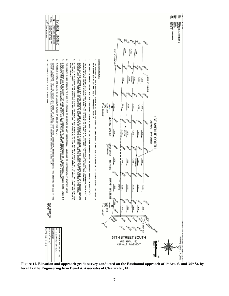

**Figure 11. Elevation and approach grade survey conducted on the Eastbound approach of 1st Ave. S. and 34th St. by local Traffic Engineering firm Deuel & Associates of Clearwater, FL.**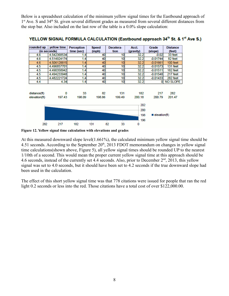Below is a spreadsheet calculation of the minimum yellow signal times for the Eastbound approach of 1<sup>st</sup> Ave. S and 34<sup>th</sup> St. given several different grades as measured from several different distances from the stop bar. Also included on the last row of the table is a 0.0% slope calculation:

| rounded up    | yellow time              | Perception | <b>Speed</b> | Decelera- | Accl.     | Grade      | <b>Distance</b>              |  |
|---------------|--------------------------|------------|--------------|-----------|-----------|------------|------------------------------|--|
| (in seconds)  |                          | time (sec) | (mph)        | tion      | (gravity) | (slope)    | (feet)                       |  |
| 4.6           | 4.542368534              | 1.4        | 40           | 10        | 32.2      | $-0.02$    | 33 feet                      |  |
| 4.6           | 4.514924174              | 1.4        | 40           | 10        | 32.2      | $-0.01744$ | 82 feet                      |  |
| 4.6           | 4.506128815              | 1.4        | 40           | 10        | 32.2      | $-0.01661$ | 100 feet                     |  |
| 4.5           | 4.496857701              | 1.4        | 40           | 10        | 32.2      | $-0.01573$ | 131 feet                     |  |
| 4.5           | 4.490358942              | 1.4        | 40           | 10        | 32.2      | $-0.01511$ | 182 feet                     |  |
| 4.5           | 4.494233948              | 1.4        | 40           | 10        | 32.2      | $-0.01548$ | 217 feet                     |  |
| 4.5           | 4.482221724              | 1.4        | 40           | 10        | 32.2      | $-0.01433$ | 282 feet                     |  |
| 4.4           | 4.34                     | 1.4        | 40           | 10        | 32.2      | $\bf{0}$   | <b>NO SLOPE</b>              |  |
|               |                          |            |              |           |           |            |                              |  |
| distance(ft)  | 0                        | 33         | 82           | 131       | 182       | 217        | 282                          |  |
| elevation(ft) | 197.43                   | 198.09     | 198.86       | 199.49    | 200.18    | 200.79     | 201.47                       |  |
|               | 202<br>200<br>198<br>196 |            |              |           |           |            | $\blacksquare$ elevation(ft) |  |
| 282           | 217                      | 182        | 131          | 33<br>82  | 0         |            |                              |  |

YELLOW SIGNAL FORMULA CALCULATION (Eastbound approach 34<sup>th</sup> St. & 1<sup>st</sup> Ave S.)

**Figure 12. Yellow signal time calculation with elevations and grades**

At this measured downward slope level(1.661%), the calculated minimum yellow signal time should be 4.51 seconds. According to the September  $20<sup>th</sup>$ , 2013 FDOT memorandum on changes in yellow signal time calculations(shown above, Figure 5), all yellow signal times should be rounded UP to the nearest 1/10th of a second. This would mean the proper current yellow signal time at this approach should be 4.6 seconds, instead of the currently set 4.4 seconds. Also, prior to December 2<sup>nd</sup>, 2013, this yellow signal was set to 4.0 seconds, but it should have been set to 4.2 seconds if the true downward slope had been used in the calculation.

The effect of this short yellow signal time was that 778 citations were issued for people that ran the red light 0.2 seconds or less into the red. Those citations have a total cost of over \$122,000.00.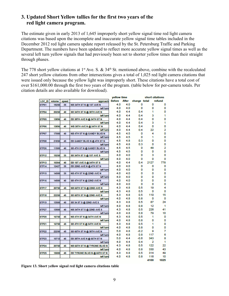### **3. Updated Short Yellow tallies for the first two years of the red light camera program.**

The estimate given in early 2013 of 1,645 improperly short yellow signal time red light camera citations was based upon the incomplete and inaccurate yellow signal time tables included in the December 2012 red light camera update report released by the St. Petersburg Traffic and Parking Department. The numbers have been updated to reflect more accurate yellow signal times as well as the several left turn yellow signals that had previously been set to shorter yellow times than their straight through phases.

The 778 short yellow citations at 1<sup>st</sup> Ave. S. & 34<sup>th</sup> St. mentioned above, combine with the recalculated 247 short yellow citations from other intersections gives a total of 1,025 red light camera citations that were issued only because the yellow light was improperly short. These citations have a total cost of over \$161,000.00 through the first two years of the program. (table below for per-camera totals. Per citation details are also available for download).

|                   |        |              |                                     | yellow time   |       |              |      | short citations |  |
|-------------------|--------|--------------|-------------------------------------|---------------|-------|--------------|------|-----------------|--|
| <b>LOC ID</b>     | volume | <b>speed</b> | approach                            | <b>Before</b> | After | change total |      | refund          |  |
| STP01             | 19250  | 35           | NB 34TH ST N @ 1ST AVE N            | 4.0           | 4.0   | o            | ٥    | 0               |  |
|                   |        |              | left turn                           | 4.0           | 4.0   | 0            | 0    | 0               |  |
| STP <sub>04</sub> | 20250  | 40           | SB 34TH ST N @ 38TH AVE N           | 4.0           | 4.4   | 0.4          | 1    | 0               |  |
|                   |        |              | left turn                           | 4.0           | 4.4   | 0.4          | 3    | 1               |  |
| STP05             | 13896  | 40           | EB 38TH AVE N @ 34TH ST N           | 4.0           | 4.4   | 0.4          | 0    | 0               |  |
|                   |        |              | left turn                           | 4.0           | 4.4   | 0.4          | з    | 1               |  |
| <b>STP0G</b>      | 13896  | 40           | WB 38TH AVE N @ 34TH ST N           | 4.0           | 4.4   | 0.4          | 0    | 0               |  |
|                   |        |              | left turn                           | 4.0           | 4.4   | 0.4          | 22   | 2               |  |
| STP07             | 17000  | 40           | NB 4TH ST N @ GANDY BLVD N          | 4.5           | 4.5   | 0            | 4    | 0               |  |
|                   |        |              | left turn                           | 4.5           | 4.5   | o            | 1    | 0               |  |
| STP08             | 21850  | 45           | EB GANDY BLVD N @ 4TH ST N          | 4.5           | 4.8   | 0.3          | 0    | 0               |  |
|                   |        |              | left turn                           | 4.5           | 4.8   | 0.3          | 0    | 0               |  |
| STP <sub>26</sub> | 11500  | 40           | <b>SB 4TH ST N @ GANDY BLVD N</b>   | 4.5           | 4.5   | 0            | 48   | 2               |  |
|                   |        |              | left turn                           | 4.5           | 4.5   | 0            | 0    | 0               |  |
| <b>STP12</b>      | 19250  | 35           | <b>SB 34TH ST S @ 1ST AVE S</b>     | 4.0           | 4.0   | 0            | 3    | 0               |  |
|                   |        |              | left turn                           | 4.0           | 4.0   | о            | 0    | 0               |  |
| STP13             | 10304  | 40           | EB 1ST AVE S @ 34TH ST S            | 4.0           | 4.4   | 0.4          | 2127 | 778             |  |
| <b>STP14</b>      | 12427  | 35           | EB 22ND AVE N @ 4TH ST N            | 4.0           | 4.0   | 0            | 0    | 0               |  |
|                   |        |              | left turn                           | 4.0           | 4.0   | 0            | 0    | 0               |  |
| STP <sub>15</sub> | 14500  | 35           | NB 4TH ST N @ 22ND AVE N            | 4.0           | 4.0   | 0            | 0    | 0               |  |
|                   |        |              | left turn                           | 4.0           | 4.0   | 0            | 0    | 0               |  |
| STP <sub>16</sub> | 14500  | 40           | SB 4TH ST N @ 22ND AVE N            | 4.0           | 4.0   | o            | 0    | 0               |  |
|                   |        |              | left turn                           | 4.0           | 4.0   | 0            | o    | 0               |  |
| STP <sub>17</sub> | 20750  | 45           | NB SSTH ST N @ 22ND AVE N           | 4.3           | 4.8   | 0.5          | 19   | 4               |  |
|                   |        |              | left turn                           | 4.3           | 4.8   | 0.5          | 0    | 0               |  |
| STP <sub>18</sub> | 22250  | 45           | SB GSTH ST N @ 22ND AVE N           | 4.3           | 4.8   | 0.5          | 110  | 15              |  |
|                   |        |              | left turn                           | 4.0           | 4.8   | 0.8          | 0    | ٥               |  |
| STP <sub>19</sub> | 13500  | 40           | SB 34 ST S @ 22ND AVE S             | 4.3           | 4.8   | 0.5          | 87   | 24              |  |
|                   |        |              | left turn                           | 4.0           | 4.8   | 0.8          | 12   | 1               |  |
| STP27             | 13500  | 40           | NB 34TH ST S @ 22ND AVE S           | 4.3           | 4.8   | 0.5          | 226  | 41              |  |
|                   |        |              | left turn                           | 4.0           | 4.8   | 0.8          | 79   | 10              |  |
| STP20             | 16750  | 45           | NB 4TH ST N @ 54TH AVE N            | 4.3           | 4.8   | 0.5          | 1    | 0               |  |
|                   |        |              | left turn                           | 4.0           | 4.8   | 0.8          | ٥    | 0               |  |
| <b>STP21</b>      | 16750  | 45           | SB 4TH ST N @ 54TH AVE N            | 4.3           | 4.8   | 0.5          | 1    | 0               |  |
|                   |        |              | left turn                           | 4.0           | 4.8   | 0.8          | 0    | 0               |  |
| <b>STP22</b>      | 22250  | 45           | SB GSTH ST N @ 38TH AVE N           | 5.0           | 4.8   | $-0.2$       | 9    | 7               |  |
|                   |        |              | left turn                           | 4.0           | 4.8   | 0.8          | 117  | 6               |  |
| STP23             | 10713  | 40           | EB 38TH AVE N @ 66TH ST N           | 5.0           | 4.4   | $-0.6$       | 343  | 8               |  |
|                   |        |              | left turn                           | 4.0           | 4.4   | 0.4          | 2    | 1               |  |
| <b>STP24</b>      | 20750  | 45           | <b>NB GSTH ST N @ TYRONE BLVD N</b> | 4.3           | 4.8   | 0.5          | 122  | 22              |  |
|                   |        |              | left turn                           | 4.0           | 4.8   | 0.8          | 330  | 43              |  |
| <b>STP25</b>      | 15000  | 45           | EB TYRONE BLVD N @ 66TH ST N        | 4.3           | 4.8   | 0.5          | 314  | 49              |  |
|                   |        |              | left turn                           | 4.0           | 4.8   | 0.8          | 116  | 10              |  |
|                   |        |              |                                     |               |       |              | 4100 | 1025            |  |

**Figure 13. Short yellow signal red light camera citations table**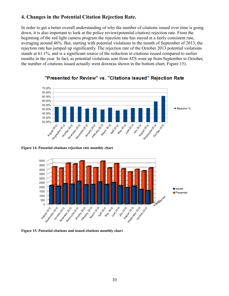## **4. Changes in the Potential Citation Rejection Rate.**

In order to get a better overall understanding of why the number of citations issued over time is going down, it is also important to look at the police review(potential citation) rejection rate. From the beginning of the red light camera program the rejection rate has stayed at a fairly consistent rate, averaging around 46%. But, starting with potential violations in the month of September of 2013, the rejection rate has jumped up significantly. The rejection rate of the October 2013 potential violations stands at 61.1%, and is a significant source of the reduction in citations issued compared to earlier months in the year. In fact, as potential violations sent from ATS went up from September to October, the number of citations issued actually went down(as shown in the bottom chart, Figure 15).



"Presented for Review" vs. "Citations Issued" Rejection Rate

**Figure 14. Potential citations rejection rate monthly chart**



**Figure 15. Potential citations and issued citations monthly chart**